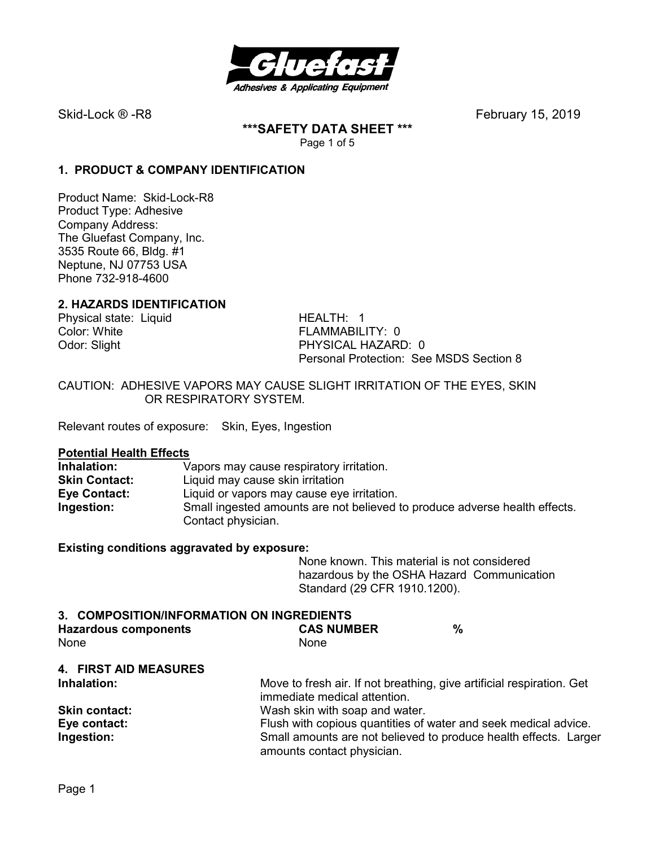

**\*\*\*SAFETY DATA SHEET \*\*\***  Page 1 of 5

# **1. PRODUCT & COMPANY IDENTIFICATION**

Product Name: Skid-Lock-R8 Product Type: Adhesive Company Address: The Gluefast Company, Inc. 3535 Route 66, Bldg. #1 Neptune, NJ 07753 USA Phone 732-918-4600

#### **2. HAZARDS IDENTIFICATION**

Physical state: Liquid HEALTH: 1 Color: White **FLAMMABILITY: 0** 

Odor: Slight **PHYSICAL HAZARD: 0** Personal Protection: See MSDS Section 8

CAUTION: ADHESIVE VAPORS MAY CAUSE SLIGHT IRRITATION OF THE EYES, SKIN OR RESPIRATORY SYSTEM.

Relevant routes of exposure: Skin, Eyes, Ingestion

#### **Potential Health Effects**

| Inhalation:          | Vapors may cause respiratory irritation.                                   |
|----------------------|----------------------------------------------------------------------------|
| <b>Skin Contact:</b> | Liquid may cause skin irritation                                           |
| Eye Contact:         | Liquid or vapors may cause eye irritation.                                 |
| Ingestion:           | Small ingested amounts are not believed to produce adverse health effects. |
|                      | Contact physician.                                                         |

#### **Existing conditions aggravated by exposure:**

None known. This material is not considered hazardous by the OSHA Hazard Communication Standard (29 CFR 1910.1200).

**Inhalation:** Move to fresh air. If not breathing, give artificial respiration. Get

| 3. COMPOSITION/INFORMATION ON INGREDIENTS |                   |  |
|-------------------------------------------|-------------------|--|
| <b>Hazardous components</b>               | <b>CAS NUMBER</b> |  |
| <b>None</b>                               | None.             |  |

# **4. FIRST AID MEASURES**

|                      | immediate medical attention.                                     |
|----------------------|------------------------------------------------------------------|
| <b>Skin contact:</b> | Wash skin with soap and water.                                   |
| Eye contact:         | Flush with copious quantities of water and seek medical advice.  |
| Ingestion:           | Small amounts are not believed to produce health effects. Larger |
|                      | amounts contact physician.                                       |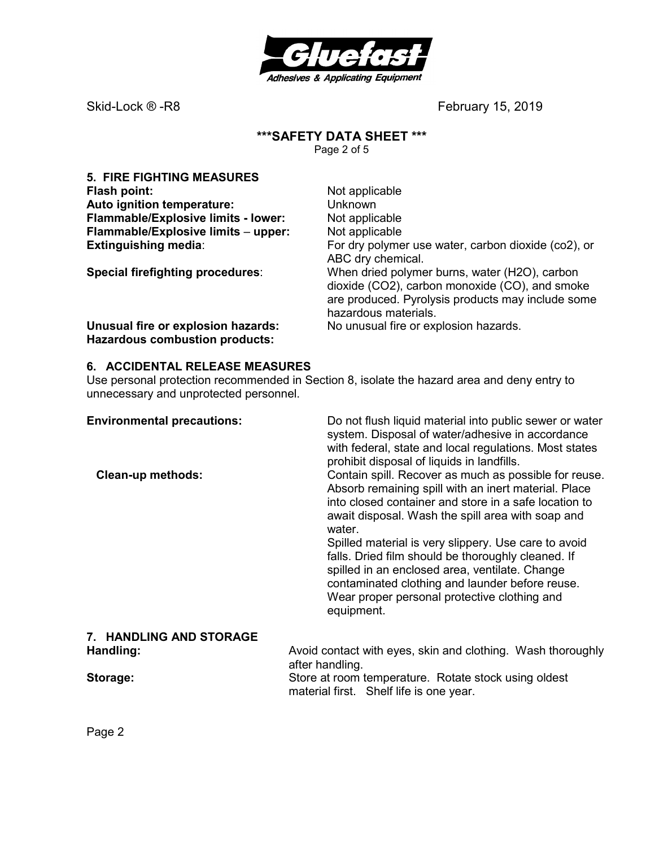

# **\*\*\*SAFETY DATA SHEET \*\*\***

Page 2 of 5

| <b>5. FIRE FIGHTING MEASURES</b>                                            |                                                                                                                                                                              |
|-----------------------------------------------------------------------------|------------------------------------------------------------------------------------------------------------------------------------------------------------------------------|
| <b>Flash point:</b>                                                         | Not applicable                                                                                                                                                               |
| Auto ignition temperature:                                                  | Unknown                                                                                                                                                                      |
| Flammable/Explosive limits - lower:                                         | Not applicable                                                                                                                                                               |
| Flammable/Explosive limits - upper:                                         | Not applicable                                                                                                                                                               |
| <b>Extinguishing media:</b>                                                 | For dry polymer use water, carbon dioxide (co2), or<br>ABC dry chemical.                                                                                                     |
| Special firefighting procedures:                                            | When dried polymer burns, water (H2O), carbon<br>dioxide (CO2), carbon monoxide (CO), and smoke<br>are produced. Pyrolysis products may include some<br>hazardous materials. |
| Unusual fire or explosion hazards:<br><b>Hazardous combustion products:</b> | No unusual fire or explosion hazards.                                                                                                                                        |

# **6. ACCIDENTAL RELEASE MEASURES**

Use personal protection recommended in Section 8, isolate the hazard area and deny entry to unnecessary and unprotected personnel.

| <b>Environmental precautions:</b><br><b>Clean-up methods:</b> | Do not flush liquid material into public sewer or water<br>system. Disposal of water/adhesive in accordance<br>with federal, state and local regulations. Most states<br>prohibit disposal of liquids in landfills.<br>Contain spill. Recover as much as possible for reuse.<br>Absorb remaining spill with an inert material. Place<br>into closed container and store in a safe location to<br>await disposal. Wash the spill area with soap and<br>water.<br>Spilled material is very slippery. Use care to avoid<br>falls. Dried film should be thoroughly cleaned. If<br>spilled in an enclosed area, ventilate. Change<br>contaminated clothing and launder before reuse. |  |
|---------------------------------------------------------------|---------------------------------------------------------------------------------------------------------------------------------------------------------------------------------------------------------------------------------------------------------------------------------------------------------------------------------------------------------------------------------------------------------------------------------------------------------------------------------------------------------------------------------------------------------------------------------------------------------------------------------------------------------------------------------|--|
|                                                               | Wear proper personal protective clothing and<br>equipment.                                                                                                                                                                                                                                                                                                                                                                                                                                                                                                                                                                                                                      |  |
| 7. HANDLING AND STORAGE                                       |                                                                                                                                                                                                                                                                                                                                                                                                                                                                                                                                                                                                                                                                                 |  |
| Handling:                                                     | Avoid contact with eyes, skin and clothing. Wash thoroughly<br>after handling.                                                                                                                                                                                                                                                                                                                                                                                                                                                                                                                                                                                                  |  |
| Storage:                                                      | Store at room temperature. Rotate stock using oldest<br>material first. Shelf life is one year.                                                                                                                                                                                                                                                                                                                                                                                                                                                                                                                                                                                 |  |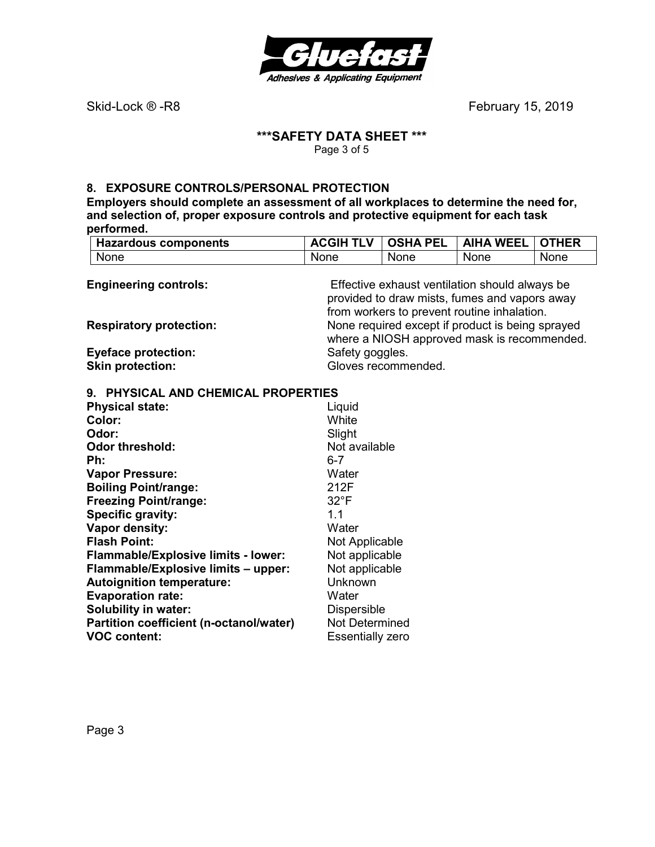

# **\*\*\*SAFETY DATA SHEET \*\*\***

Page 3 of 5

# **8. EXPOSURE CONTROLS/PERSONAL PROTECTION**

**Employers should complete an assessment of all workplaces to determine the need for, and selection of, proper exposure controls and protective equipment for each task performed.** 

| <b>Hazardous components</b>                           | <b>ACGIH TLV</b>        | <b>OSHA PEL</b>     | <b>AIHA WEEL</b>                                 | <b>OTHER</b> |
|-------------------------------------------------------|-------------------------|---------------------|--------------------------------------------------|--------------|
| None                                                  | None                    | <b>None</b>         | None                                             | None         |
|                                                       |                         |                     |                                                  |              |
| <b>Engineering controls:</b>                          |                         |                     | Effective exhaust ventilation should always be   |              |
|                                                       |                         |                     | provided to draw mists, fumes and vapors away    |              |
| <b>Respiratory protection:</b>                        |                         |                     | from workers to prevent routine inhalation.      |              |
|                                                       |                         |                     | None required except if product is being sprayed |              |
|                                                       | Safety goggles.         |                     | where a NIOSH approved mask is recommended.      |              |
| <b>Eyeface protection:</b><br><b>Skin protection:</b> |                         | Gloves recommended. |                                                  |              |
|                                                       |                         |                     |                                                  |              |
| 9. PHYSICAL AND CHEMICAL PROPERTIES                   |                         |                     |                                                  |              |
| <b>Physical state:</b>                                | Liquid                  |                     |                                                  |              |
| Color:                                                | White                   |                     |                                                  |              |
| Odor:                                                 | Slight                  |                     |                                                  |              |
| <b>Odor threshold:</b>                                | Not available           |                     |                                                  |              |
| Ph:                                                   | $6 - 7$                 |                     |                                                  |              |
| <b>Vapor Pressure:</b>                                | Water                   |                     |                                                  |              |
| <b>Boiling Point/range:</b>                           | 212F                    |                     |                                                  |              |
| <b>Freezing Point/range:</b>                          | $32^{\circ}F$           |                     |                                                  |              |
| <b>Specific gravity:</b>                              | 1.1                     |                     |                                                  |              |
| Vapor density:                                        | Water                   |                     |                                                  |              |
| <b>Flash Point:</b>                                   | Not Applicable          |                     |                                                  |              |
| Flammable/Explosive limits - lower:                   | Not applicable          |                     |                                                  |              |
| Flammable/Explosive limits - upper:                   | Not applicable          |                     |                                                  |              |
| <b>Autoignition temperature:</b>                      | Unknown                 |                     |                                                  |              |
| <b>Evaporation rate:</b>                              | Water                   |                     |                                                  |              |
| <b>Solubility in water:</b>                           | <b>Dispersible</b>      |                     |                                                  |              |
| Partition coefficient (n-octanol/water)               | Not Determined          |                     |                                                  |              |
| <b>VOC content:</b>                                   | <b>Essentially zero</b> |                     |                                                  |              |

**Essentially zero**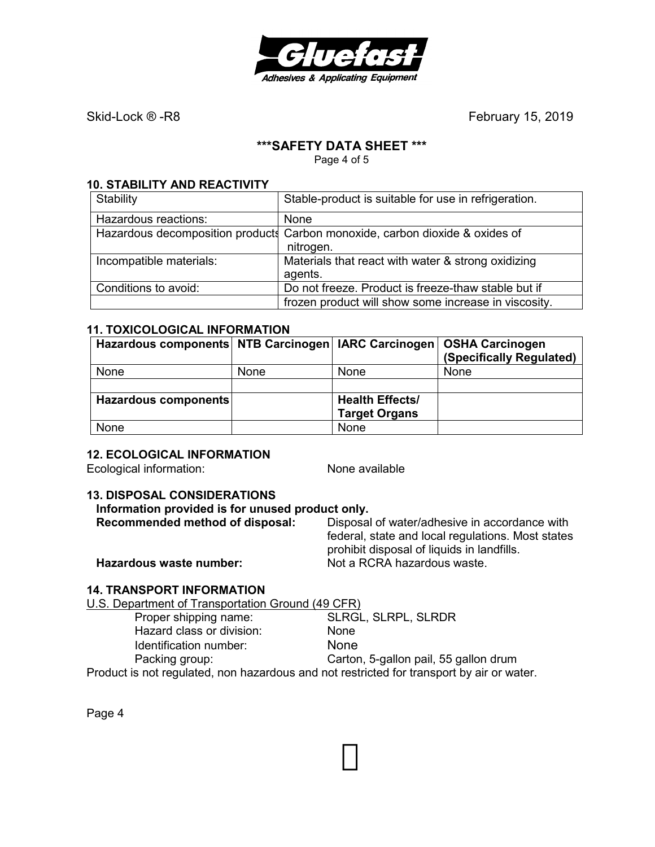

# **\*\*\*SAFETY DATA SHEET \*\*\***

Page 4 of 5

### **10. STABILITY AND REACTIVITY**

| Stability               | Stable-product is suitable for use in refrigeration.                         |
|-------------------------|------------------------------------------------------------------------------|
| Hazardous reactions:    | None                                                                         |
|                         | Hazardous decomposition products Carbon monoxide, carbon dioxide & oxides of |
|                         | nitrogen.                                                                    |
| Incompatible materials: | Materials that react with water & strong oxidizing                           |
|                         | agents.                                                                      |
| Conditions to avoid:    | Do not freeze. Product is freeze-thaw stable but if                          |
|                         | frozen product will show some increase in viscosity.                         |

### **11. TOXICOLOGICAL INFORMATION**

| Hazardous components NTB Carcinogen   IARC Carcinogen   OSHA Carcinogen |             |                                                | (Specifically Regulated) |
|-------------------------------------------------------------------------|-------------|------------------------------------------------|--------------------------|
| None                                                                    | <b>None</b> | <b>None</b>                                    | None                     |
|                                                                         |             |                                                |                          |
| Hazardous components                                                    |             | <b>Health Effects/</b><br><b>Target Organs</b> |                          |
| None                                                                    |             | None                                           |                          |

### **12. ECOLOGICAL INFORMATION**

Ecological information: None available

#### **13. DISPOSAL CONSIDERATIONS**

# **Information provided is for unused product only.**

| Recommended method of disposal: | Disposal of water/adhesive in accordance with     |
|---------------------------------|---------------------------------------------------|
|                                 | federal, state and local regulations. Most states |
|                                 | prohibit disposal of liquids in landfills.        |
| Hazardous waste number:         | Not a RCRA hazardous waste.                       |

### **14. TRANSPORT INFORMATION**

U.S. Department of Transportation Ground (49 CFR)

| Proper shipping name:                                                                     | <b>SLRGL, SLRPL, SLRDR</b>            |
|-------------------------------------------------------------------------------------------|---------------------------------------|
| Hazard class or division:                                                                 | None                                  |
| Identification number:                                                                    | <b>None</b>                           |
| Packing group:                                                                            | Carton, 5-gallon pail, 55 gallon drum |
| Product is not regulated, non hazardous and not restricted for transport by air or water. |                                       |

Page 4